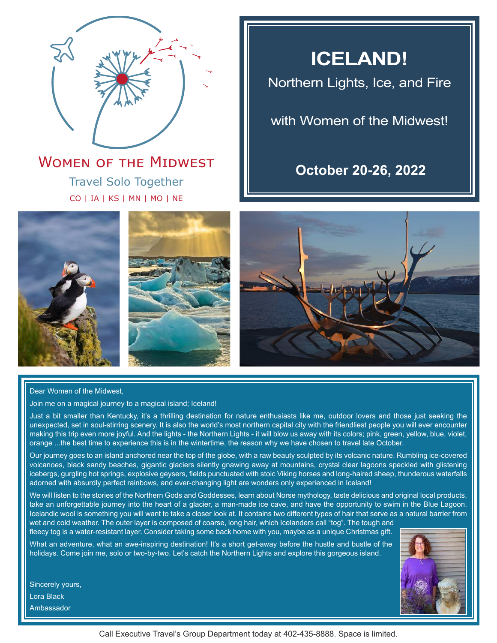

## Travel Solo Together CO | IA | KS | MN | MO | NE **WOMEN OF THE MIDWEST**

## **ICELAND!**

Northern Lights, Ice, and Fire

## with Women of the Midwest!

## **October 20-26, 2022**







Dear Women of the Midwest,

Join me on a magical journey to a magical island; Iceland!

Just a bit smaller than Kentucky, it's a thrilling destination for nature enthusiasts like me, outdoor lovers and those just seeking the unexpected, set in soul-stirring scenery. It is also the world's most northern capital city with the friendliest people you will ever encounter making this trip even more joyful. And the lights - the Northern Lights - it will blow us away with its colors; pink, green, yellow, blue, violet, orange ...the best time to experience this is in the wintertime, the reason why we have chosen to travel late October.

Our journey goes to an island anchored near the top of the globe, with a raw beauty sculpted by its volcanic nature. Rumbling ice-covered volcanoes, black sandy beaches, gigantic glaciers silently gnawing away at mountains, crystal clear lagoons speckled with glistening icebergs, gurgling hot springs, explosive geysers, fields punctuated with stoic Viking horses and long-haired sheep, thunderous waterfalls adorned with absurdly perfect rainbows, and ever-changing light are wonders only experienced in Iceland!

We will listen to the stories of the Northern Gods and Goddesses, learn about Norse mythology, taste delicious and original local products, take an unforgettable journey into the heart of a glacier, a man-made ice cave, and have the opportunity to swim in the Blue Lagoon. Icelandic wool is something you will want to take a closer look at. It contains two different types of hair that serve as a natural barrier from wet and cold weather. The outer layer is composed of coarse, long hair, which Icelanders call "tog". The tough and

fleecy tog is a water-resistant layer. Consider taking some back home with you, maybe as a unique Christmas gift. What an adventure, what an awe-inspiring destination! It's a short get-away before the hustle and bustle of the holidays. Come join me, solo or two-by-two. Let's catch the Northern Lights and explore this gorgeous island.





Call Executive Travel's Group Department today at 402-435-8888. Space is limited.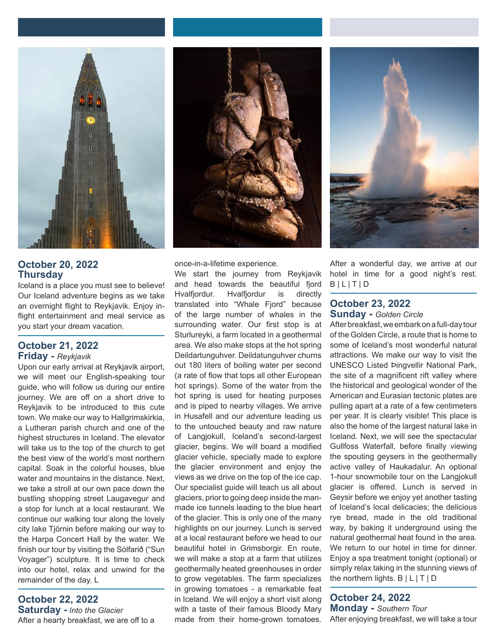

## **October 20, 2022 Thursday**

Iceland is a place you must see to believe! Our Iceland adventure begins as we take an overnight flight to Reykjavik. Enjoy inflight entertainment and meal service as you start your dream vacation.

### **October 21, 2022 Friday -** *Reykjavik*

Upon our early arrival at Reykjavik airport, we will meet our English-speaking tour guide, who will follow us during our entire journey. We are off on a short drive to Reykjavik to be introduced to this cute town. We make our way to Hallgrimskirkia, a Lutheran parish church and one of the highest structures in Iceland. The elevator will take us to the top of the church to get the best view of the world's most northern capital. Soak in the colorful houses, blue water and mountains in the distance. Next, we take a stroll at our own pace down the bustling shopping street Laugavegur and a stop for lunch at a local restaurant. We continue our walking tour along the lovely city lake Tjörnin before making our way to the Harpa Concert Hall by the water. We finish our tour by visiting the Sólfarið ("Sun Voyager") sculpture. It is time to check into our hotel, relax and unwind for the remainder of the day. L

## **October 22, 2022 Saturday -** *Into the Glacier*

After a hearty breakfast, we are off to a



once-in-a-lifetime experience.

We start the journey from Reykjavik and head towards the beautiful fjord Hvalfjordur. Hvalfjordur is directly translated into "Whale Fjord" because of the large number of whales in the surrounding water. Our first stop is at Sturlureyki, a farm located in a geothermal area. We also make stops at the hot spring Deildartunguhver. Deildatunguhver churns out 180 liters of boiling water per second (a rate of flow that tops all other European hot springs). Some of the water from the hot spring is used for heating purposes and is piped to nearby villages. We arrive in Husafell and our adventure leading us to the untouched beauty and raw nature of Langjokull, Iceland's second-largest glacier, begins. We will board a modified glacier vehicle, specially made to explore the glacier environment and enjoy the views as we drive on the top of the ice cap. Our specialist guide will teach us all about glaciers, prior to going deep inside the manmade ice tunnels leading to the blue heart of the glacier. This is only one of the many highlights on our journey. Lunch is served at a local restaurant before we head to our beautiful hotel in Grimsborgir. En route, we will make a stop at a farm that utilizes geothermally heated greenhouses in order to grow vegetables. The farm specializes in growing tomatoes - a remarkable feat in Iceland. We will enjoy a short visit along with a taste of their famous Bloody Mary made from their home-grown tomatoes.



After a wonderful day, we arrive at our hotel in time for a good night's rest.  $B | L | T | D$ 

## **October 23, 2022 Sunday -** *Golden Circle*

After breakfast, we embark on a full-day tour of the Golden Circle, a route that is home to some of Iceland's most wonderful natural attractions. We make our way to visit the UNESCO Listed Þingvellir National Park, the site of a magnificent rift valley where the historical and geological wonder of the American and Eurasian tectonic plates are pulling apart at a rate of a few centimeters per year. It is clearly visible! This place is also the home of the largest natural lake in Iceland. Next, we will see the spectacular Gullfoss Waterfall, before finally viewing the spouting geysers in the geothermally active valley of Haukadalur. An optional 1-hour snowmobile tour on the Langjokull glacier is offered. Lunch is served in Geysir before we enjoy yet another tasting of Iceland's local delicacies; the delicious rye bread, made in the old traditional way, by baking it underground using the natural geothermal heat found in the area. We return to our hotel in time for dinner. Enjoy a spa treatment tonight (optional) or simply relax taking in the stunning views of the northern lights. B | L | T | D

**October 24, 2022 Monday -** *Southern Tour* After enjoying breakfast, we will take a tour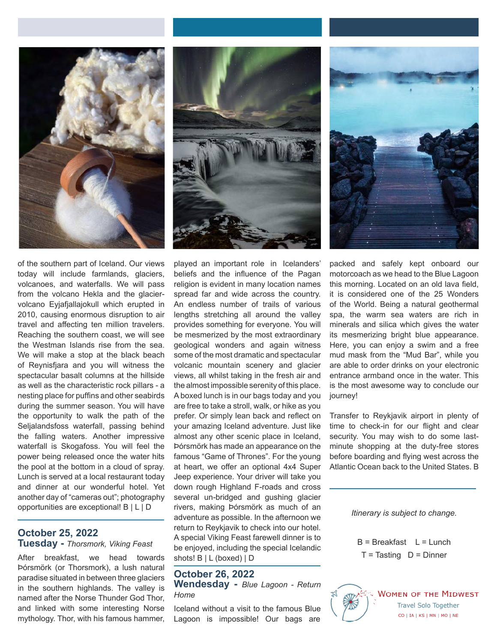

of the southern part of Iceland. Our views today will include farmlands, glaciers, volcanoes, and waterfalls. We will pass from the volcano Hekla and the glaciervolcano Eyjafjallajokull which erupted in 2010, causing enormous disruption to air travel and affecting ten million travelers. Reaching the southern coast, we will see the Westman Islands rise from the sea. We will make a stop at the black beach of Reynisfjara and you will witness the spectacular basalt columns at the hillside as well as the characteristic rock pillars - a nesting place for puffins and other seabirds during the summer season. You will have the opportunity to walk the path of the Seljalandsfoss waterfall, passing behind the falling waters. Another impressive waterfall is Skogafoss. You will feel the power being released once the water hits the pool at the bottom in a cloud of spray. Lunch is served at a local restaurant today and dinner at our wonderful hotel. Yet another day of "cameras out"; photography opportunities are exceptional! B | L | D

## **October 25, 2022 Tuesday -** *Thorsmork, Viking Feast*

After breakfast, we head towards Þórsmörk (or Thorsmork), a lush natural paradise situated in between three glaciers in the southern highlands. The valley is named after the Norse Thunder God Thor, and linked with some interesting Norse mythology. Thor, with his famous hammer,



played an important role in Icelanders' beliefs and the influence of the Pagan religion is evident in many location names spread far and wide across the country. An endless number of trails of various lengths stretching all around the valley provides something for everyone. You will be mesmerized by the most extraordinary geological wonders and again witness some of the most dramatic and spectacular volcanic mountain scenery and glacier views, all whilst taking in the fresh air and the almost impossible serenity of this place. A boxed lunch is in our bags today and you are free to take a stroll, walk, or hike as you prefer. Or simply lean back and reflect on your amazing Iceland adventure. Just like almost any other scenic place in Iceland, Þórsmörk has made an appearance on the famous "Game of Thrones". For the young at heart, we offer an optional 4x4 Super Jeep experience. Your driver will take you down rough Highland F-roads and cross several un-bridged and gushing glacier rivers, making Þórsmörk as much of an adventure as possible. In the afternoon we return to Reykjavik to check into our hotel. A special Viking Feast farewell dinner is to be enjoyed, including the special Icelandic shots! B | L (boxed) | D

## **October 26, 2022**

**Wendesday -** *Blue Lagoon - Return Home*

Iceland without a visit to the famous Blue Lagoon is impossible! Our bags are

packed and safely kept onboard our motorcoach as we head to the Blue Lagoon this morning. Located on an old lava field, it is considered one of the 25 Wonders of the World. Being a natural geothermal spa, the warm sea waters are rich in minerals and silica which gives the water its mesmerizing bright blue appearance. Here, you can enjoy a swim and a free mud mask from the "Mud Bar", while you are able to order drinks on your electronic entrance armband once in the water. This is the most awesome way to conclude our journey!

Transfer to Reykjavik airport in plenty of time to check-in for our flight and clear security. You may wish to do some lastminute shopping at the duty-free stores before boarding and flying west across the Atlantic Ocean back to the United States. B

*Itinerary is subject to change.*

 $B = B$ reakfast  $L = L$ unch  $T =$ Tasting  $D =$  Dinner

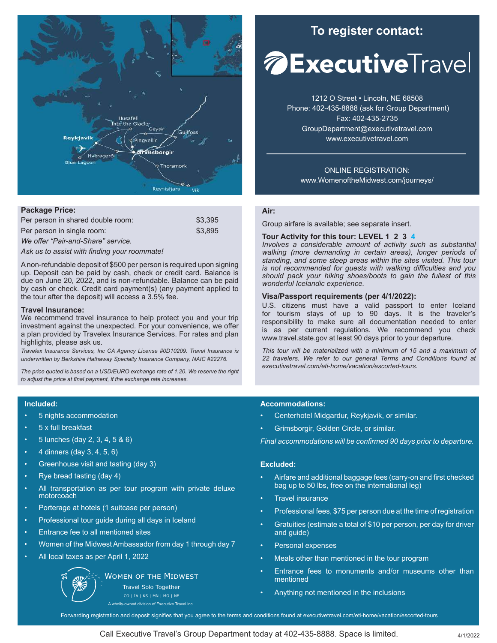

#### **Package Price:**

| Per person in shared double room: | \$3.395 |
|-----------------------------------|---------|
| Per person in single room:        | \$3.895 |

*We offer "Pair-and-Share" service.* 

*Ask us to assist with finding your roommate!*

A non-refundable deposit of \$500 per person is required upon signing up. Deposit can be paid by cash, check or credit card. Balance is due on June 20, 2022, and is non-refundable. Balance can be paid by cash or check. Credit card payment(s) (any payment applied to the tour after the deposit) will access a 3.5% fee.

#### **Travel Insurance:**

We recommend travel insurance to help protect you and your trip investment against the unexpected. For your convenience, we offer a plan provided by Travelex Insurance Services. For rates and plan highlights, please ask us.

*Travelex Insurance Services, Inc CA Agency License #0D10209. Travel Insurance is underwritten by Berkshire Hathaway Specialty Insurance Company, NAIC #22276.*

*The price quoted is based on a USD/EURO exchange rate of 1.20. We reserve the right to adjust the price at final payment, if the exchange rate increases.*

#### **Included:**

- 5 nights accommodation
- 5 x full breakfast
- 5 lunches (day 2, 3, 4, 5 & 6)
- $4 \text{ dinners (day 3, 4, 5, 6)}$
- Greenhouse visit and tasting (day 3)
- Rye bread tasting (day 4)
- All transportation as per tour program with private deluxe motorcoach
- Porterage at hotels (1 suitcase per person)
- Professional tour guide during all days in Iceland
- Entrance fee to all mentioned sites
- Women of the Midwest Ambassador from day 1 through day 7
- All local taxes as per April 1, 2022

**WOMEN OF THE MIDWEST** 

Travel Solo Together

CO | IA | KS | MN | MO | NE wholly-owned division of Executive Travel Inc.

## **To register contact:**

# *A***ExecutiveTravel**

1212 O Street • Lincoln, NE 68508 Phone: 402-435-8888 (ask for Group Department) Fax: 402-435-2735 GroupDepartment@executivetravel.com www.executivetravel.com

ONLINE REGISTRATION: www.WomenoftheMidwest.com/journeys/

## **Air:**

Group airfare is available; see separate insert.

## **Tour Activity for this tour: LEVEL 1 2 3 4**

*Involves a considerable amount of activity such as substantial walking (more demanding in certain areas), longer periods of standing, and some steep areas within the sites visited. This tour is not recommended for guests with walking difficulties and you should pack your hiking shoes/boots to gain the fullest of this wonderful Icelandic experience.*

#### **Visa/Passport requirements (per 4/1/2022):**

U.S. citizens must have a valid passport to enter Iceland for tourism stays of up to 90 days. It is the traveler's responsibility to make sure all documentation needed to enter is as per current regulations. We recommend you check www.travel.state.gov at least 90 days prior to your departure.

*This tour will be materialized with a minimum of 15 and a maximum of 22 travelers. We refer to our general Terms and Conditions found at executivetravel.com/eti-home/vacation/escorted-tours.*

#### **Accommodations:**

- Centerhotel Midgardur, Reykjavik, or similar.
- Grimsborgir, Golden Circle, or similar.

*Final accommodations will be confirmed 90 days prior to departure.*

#### **Excluded:**

- Airfare and additional baggage fees (carry-on and first checked bag up to 50 lbs, free on the international leg)
- Travel insurance
- Professional fees, \$75 per person due at the time of registration
- Gratuities (estimate a total of \$10 per person, per day for driver and guide)
- Personal expenses
- Meals other than mentioned in the tour program
- Entrance fees to monuments and/or museums other than mentioned
- Anything not mentioned in the inclusions

Forwarding registration and deposit signifies that you agree to the terms and conditions found at executivetravel.com/eti-home/vacation/escorted-tours